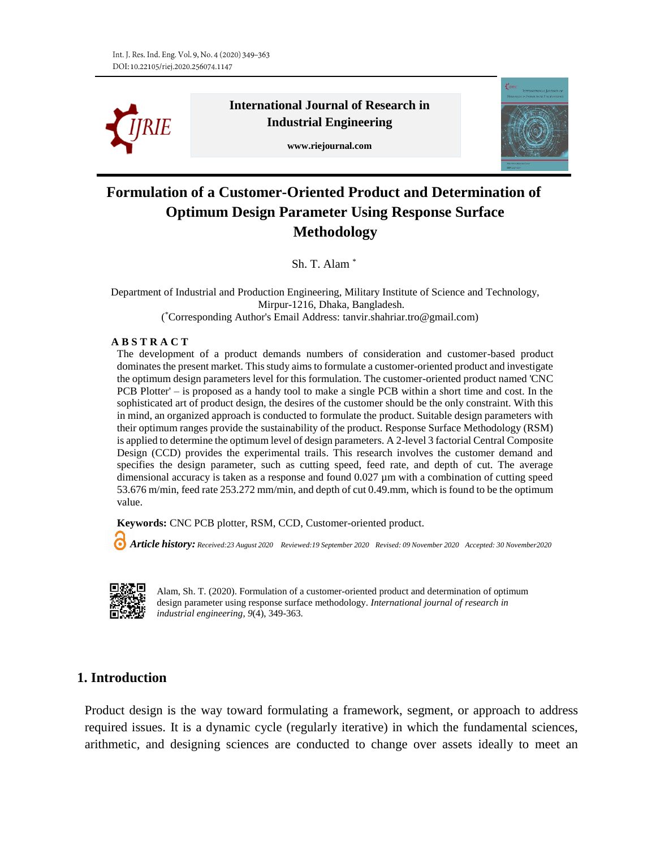

**International Journal of Research in Industrial Engineering**

**www.riejournal.com**



# **Formulation of a Customer-Oriented Product and Determination of Optimum Design Parameter Using Response Surface Methodology**

Sh. T. Alam \*

 Department of Industrial and Production Engineering, Military Institute of Science and Technology, Mirpur-1216, Dhaka, Bangladesh.

( \*Corresponding Author's Email Address: tanvir.shahriar.tro@gmail.com)

#### **A B S T R A C T**

The development of a product demands numbers of consideration and customer-based product dominates the present market. This study aims to formulate a customer-oriented product and investigate the optimum design parameters level for this formulation. The customer-oriented product named 'CNC PCB Plotter' – is proposed as a handy tool to make a single PCB within a short time and cost. In the sophisticated art of product design, the desires of the customer should be the only constraint. With this in mind, an organized approach is conducted to formulate the product. Suitable design parameters with their optimum ranges provide the sustainability of the product. Response Surface Methodology (RSM) is applied to determine the optimum level of design parameters. A 2-level 3 factorial Central Composite Design (CCD) provides the experimental trails. This research involves the customer demand and specifies the design parameter, such as cutting speed, feed rate, and depth of cut. The average dimensional accuracy is taken as a response and found  $0.027 \mu m$  with a combination of cutting speed 53.676 m/min, feed rate 253.272 mm/min, and depth of cut 0.49.mm, which is found to be the optimum value.

**Keywords:** CNC PCB plotter, RSM, CCD, Customer-oriented product.

 *Article history: Received:23 August 2020 Reviewed:19 September 2020 Revised: 09 November 2020 Accepted: 30 November2020*



Alam, Sh. T. (2020). Formulation of a customer-oriented product and determination of optimum design parameter using response surface methodology. *International journal of research in industrial engineering, 9*(4), 349-363.

## **1. Introduction**

Product design is the way toward formulating a framework, segment, or approach to address required issues. It is a dynamic cycle (regularly iterative) in which the fundamental sciences, arithmetic, and designing sciences are conducted to change over assets ideally to meet an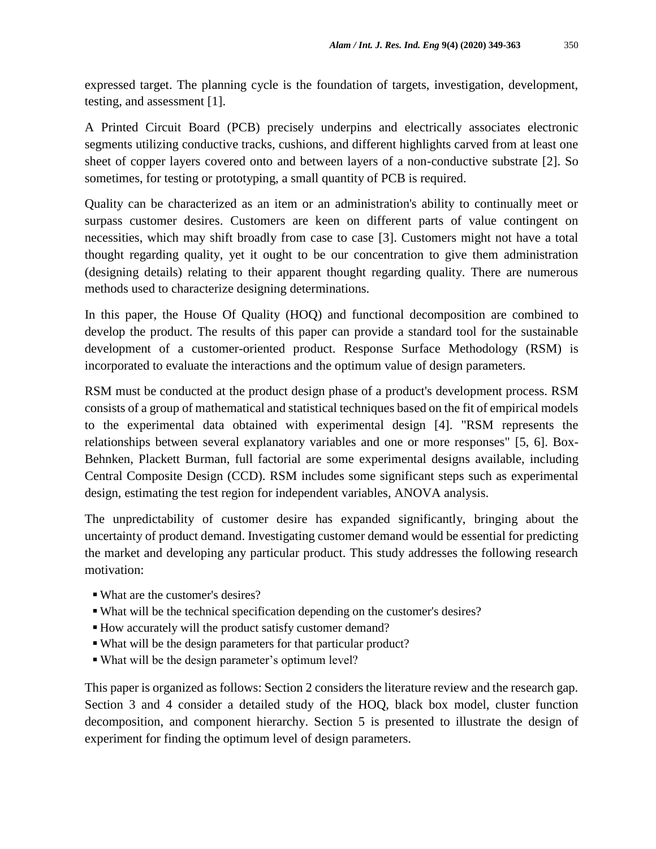expressed target. The planning cycle is the foundation of targets, investigation, development, testing, and assessment [1].

A Printed Circuit Board (PCB) precisely underpins and electrically associates electronic segments utilizing conductive tracks, cushions, and different highlights carved from at least one sheet of copper layers covered onto and between layers of a non-conductive substrate [2]. So sometimes, for testing or prototyping, a small quantity of PCB is required.

Quality can be characterized as an item or an administration's ability to continually meet or surpass customer desires. Customers are keen on different parts of value contingent on necessities, which may shift broadly from case to case [3]. Customers might not have a total thought regarding quality, yet it ought to be our concentration to give them administration (designing details) relating to their apparent thought regarding quality. There are numerous methods used to characterize designing determinations.

In this paper, the House Of Quality (HOQ) and functional decomposition are combined to develop the product. The results of this paper can provide a standard tool for the sustainable development of a customer-oriented product. Response Surface Methodology (RSM) is incorporated to evaluate the interactions and the optimum value of design parameters.

RSM must be conducted at the product design phase of a product's development process. RSM consists of a group of mathematical and statistical techniques based on the fit of empirical models to the experimental data obtained with experimental design [4]. "RSM represents the relationships between several explanatory variables and one or more responses" [5, 6]. Box-Behnken, Plackett Burman, full factorial are some experimental designs available, including Central Composite Design (CCD). RSM includes some significant steps such as experimental design, estimating the test region for independent variables, ANOVA analysis.

The unpredictability of customer desire has expanded significantly, bringing about the uncertainty of product demand. Investigating customer demand would be essential for predicting the market and developing any particular product. This study addresses the following research motivation:

- What are the customer's desires?
- What will be the technical specification depending on the customer's desires?
- How accurately will the product satisfy customer demand?
- What will be the design parameters for that particular product?
- What will be the design parameter's optimum level?

This paper is organized as follows: Section 2 considers the literature review and the research gap. Section 3 and 4 consider a detailed study of the HOQ, black box model, cluster function decomposition, and component hierarchy. Section 5 is presented to illustrate the design of experiment for finding the optimum level of design parameters.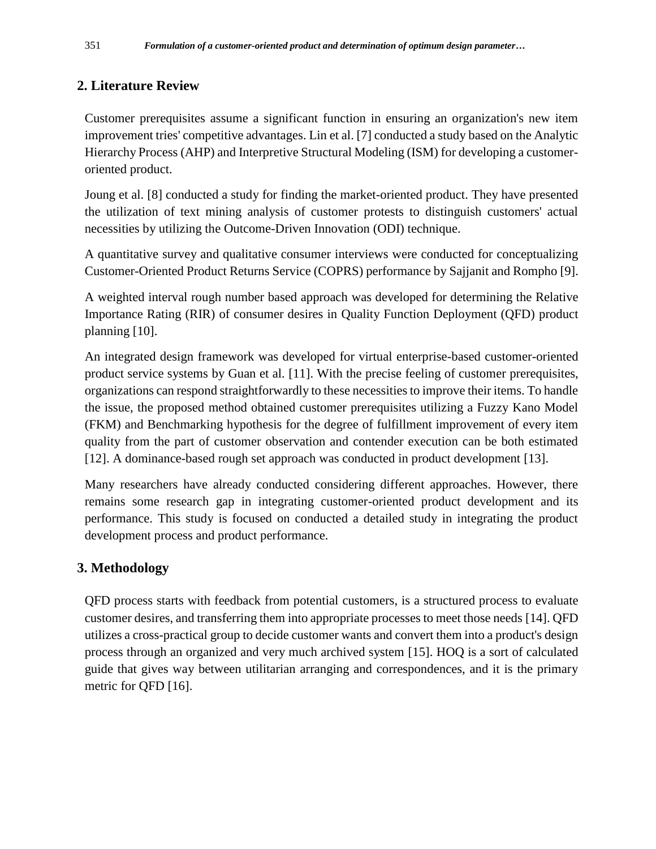## **2. Literature Review**

Customer prerequisites assume a significant function in ensuring an organization's new item improvement tries' competitive advantages. Lin et al. [7] conducted a study based on the Analytic Hierarchy Process (AHP) and Interpretive Structural Modeling (ISM) for developing a customeroriented product.

Joung et al. [8] conducted a study for finding the market-oriented product. They have presented the utilization of text mining analysis of customer protests to distinguish customers' actual necessities by utilizing the Outcome-Driven Innovation (ODI) technique.

A quantitative survey and qualitative consumer interviews were conducted for conceptualizing Customer-Oriented Product Returns Service (COPRS) performance by Sajjanit and Rompho [9].

A weighted interval rough number based approach was developed for determining the Relative Importance Rating (RIR) of consumer desires in Quality Function Deployment (QFD) product planning [10].

An integrated design framework was developed for virtual enterprise-based customer-oriented product service systems by Guan et al. [11]. With the precise feeling of customer prerequisites, organizations can respond straightforwardly to these necessities to improve their items. To handle the issue, the proposed method obtained customer prerequisites utilizing a Fuzzy Kano Model (FKM) and Benchmarking hypothesis for the degree of fulfillment improvement of every item quality from the part of customer observation and contender execution can be both estimated [12]. A dominance-based rough set approach was conducted in product development [13].

Many researchers have already conducted considering different approaches. However, there remains some research gap in integrating customer-oriented product development and its performance. This study is focused on conducted a detailed study in integrating the product development process and product performance.

## **3. Methodology**

QFD process starts with feedback from potential customers, is a structured process to evaluate customer desires, and transferring them into appropriate processes to meet those needs [14]. QFD utilizes a cross-practical group to decide customer wants and convert them into a product's design process through an organized and very much archived system [15]. HOQ is a sort of calculated guide that gives way between utilitarian arranging and correspondences, and it is the primary metric for QFD [16].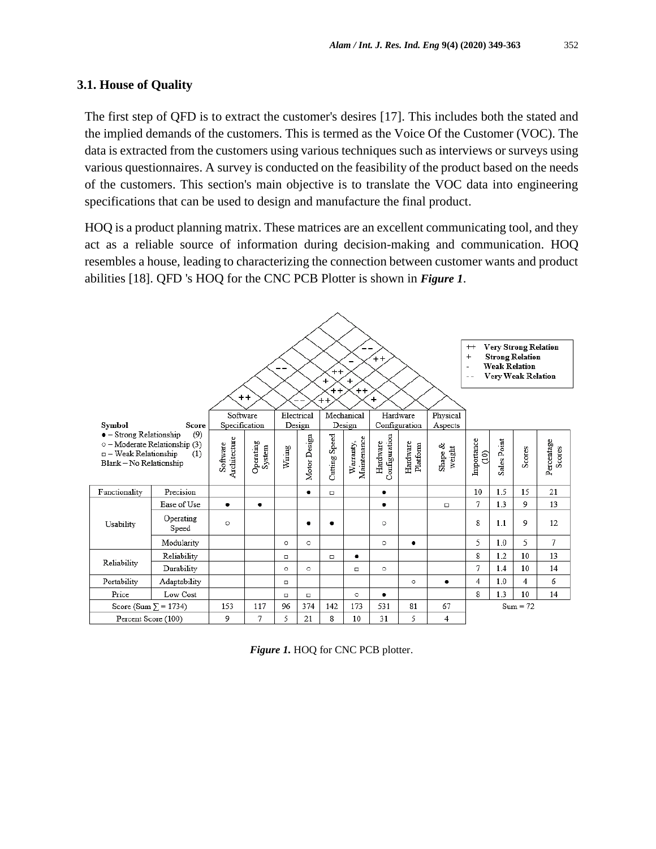#### **3.1. House of Quality**

The first step of QFD is to extract the customer's desires [17]. This includes both the stated and the implied demands of the customers. This is termed as the Voice Of the Customer (VOC). The data is extracted from the customers using various techniques such as interviews or surveys using various questionnaires. A survey is conducted on the feasibility of the product based on the needs of the customers. This section's main objective is to translate the VOC data into engineering specifications that can be used to design and manufacture the final product.

HOQ is a product planning matrix. These matrices are an excellent communicating tool, and they act as a reliable source of information during decision-making and communication. HOQ resembles a house, leading to characterizing the connection between customer wants and product abilities [18]. QFD 's HOQ for the CNC PCB Plotter is shown in *Figure 1*.



| Figure 1. HOQ for CNC PCB plotter. |  |
|------------------------------------|--|
|------------------------------------|--|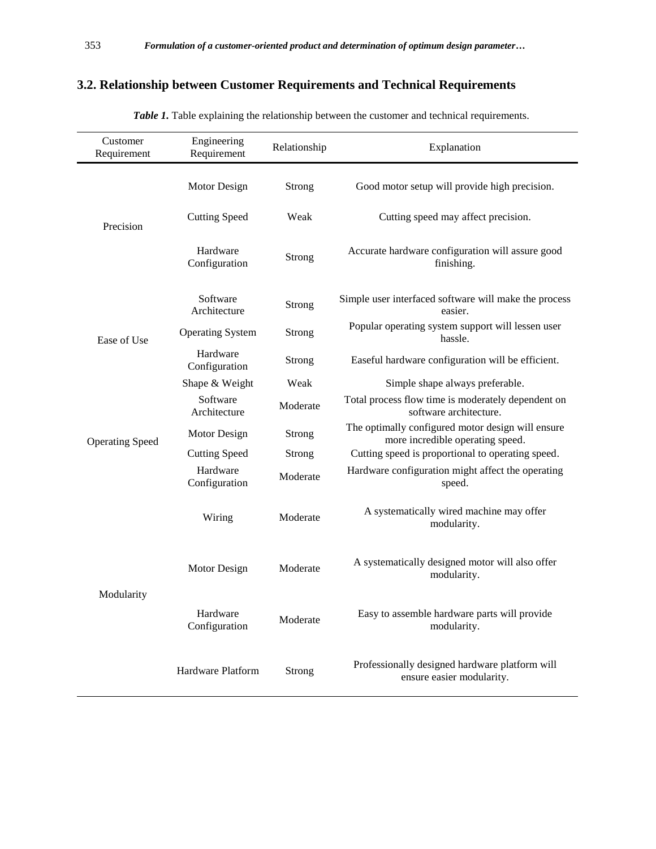## **3.2. Relationship between Customer Requirements and Technical Requirements**

| Customer<br>Requirement | Engineering<br>Requirement | Relationship  | Explanation                                                                           |
|-------------------------|----------------------------|---------------|---------------------------------------------------------------------------------------|
|                         | Motor Design               | Strong        | Good motor setup will provide high precision.                                         |
| Precision               | <b>Cutting Speed</b>       | Weak          | Cutting speed may affect precision.                                                   |
|                         | Hardware<br>Configuration  | Strong        | Accurate hardware configuration will assure good<br>finishing.                        |
|                         | Software<br>Architecture   | Strong        | Simple user interfaced software will make the process<br>easier.                      |
| Ease of Use             | <b>Operating System</b>    | Strong        | Popular operating system support will lessen user<br>hassle.                          |
|                         | Hardware<br>Configuration  | Strong        | Easeful hardware configuration will be efficient.                                     |
|                         | Shape & Weight             | Weak          | Simple shape always preferable.                                                       |
|                         | Software<br>Architecture   | Moderate      | Total process flow time is moderately dependent on<br>software architecture.          |
| <b>Operating Speed</b>  | Motor Design               | <b>Strong</b> | The optimally configured motor design will ensure<br>more incredible operating speed. |
|                         | <b>Cutting Speed</b>       | Strong        | Cutting speed is proportional to operating speed.                                     |
|                         | Hardware<br>Configuration  | Moderate      | Hardware configuration might affect the operating<br>speed.                           |
|                         | Wiring                     | Moderate      | A systematically wired machine may offer<br>modularity.                               |
| Modularity              | Motor Design               | Moderate      | A systematically designed motor will also offer<br>modularity.                        |
|                         | Hardware<br>Configuration  | Moderate      | Easy to assemble hardware parts will provide<br>modularity.                           |
|                         | Hardware Platform          | Strong        | Professionally designed hardware platform will<br>ensure easier modularity.           |

*Table 1.* Table explaining the relationship between the customer and technical requirements.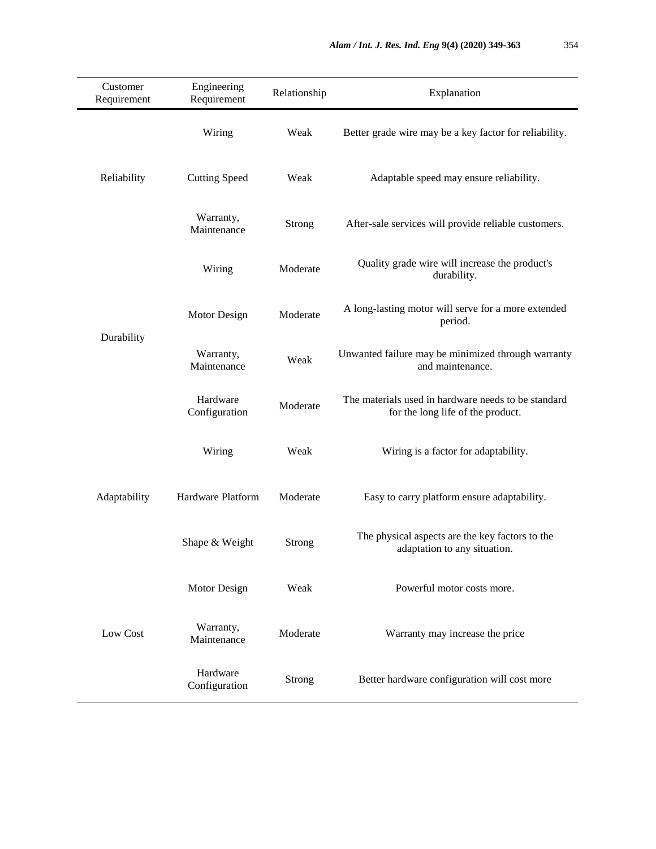| Customer<br>Requirement | Engineering<br>Requirement                    | Relationship  | Explanation                                                                              |
|-------------------------|-----------------------------------------------|---------------|------------------------------------------------------------------------------------------|
| Reliability             | Wiring                                        | Weak          | Better grade wire may be a key factor for reliability.                                   |
|                         | <b>Cutting Speed</b>                          | Weak          | Adaptable speed may ensure reliability.                                                  |
|                         | Warranty,<br>Maintenance                      | <b>Strong</b> | After-sale services will provide reliable customers.                                     |
|                         | Wiring                                        |               | Quality grade wire will increase the product's<br>durability.                            |
| Durability              | Motor Design                                  | Moderate      | A long-lasting motor will serve for a more extended<br>period.                           |
|                         | Warranty,<br>Maintenance                      | Weak          | Unwanted failure may be minimized through warranty<br>and maintenance.                   |
|                         | Hardware<br>Configuration                     | Moderate      | The materials used in hardware needs to be standard<br>for the long life of the product. |
|                         | Wiring<br>Hardware Platform<br>Shape & Weight |               | Wiring is a factor for adaptability.                                                     |
| Adaptability            |                                               |               | Easy to carry platform ensure adaptability.                                              |
|                         |                                               |               | The physical aspects are the key factors to the<br>adaptation to any situation.          |
| Low Cost                | Motor Design                                  |               | Powerful motor costs more.                                                               |
|                         | Warranty,<br>Moderate<br>Maintenance          |               | Warranty may increase the price                                                          |
|                         | Hardware<br>Configuration                     |               | Better hardware configuration will cost more                                             |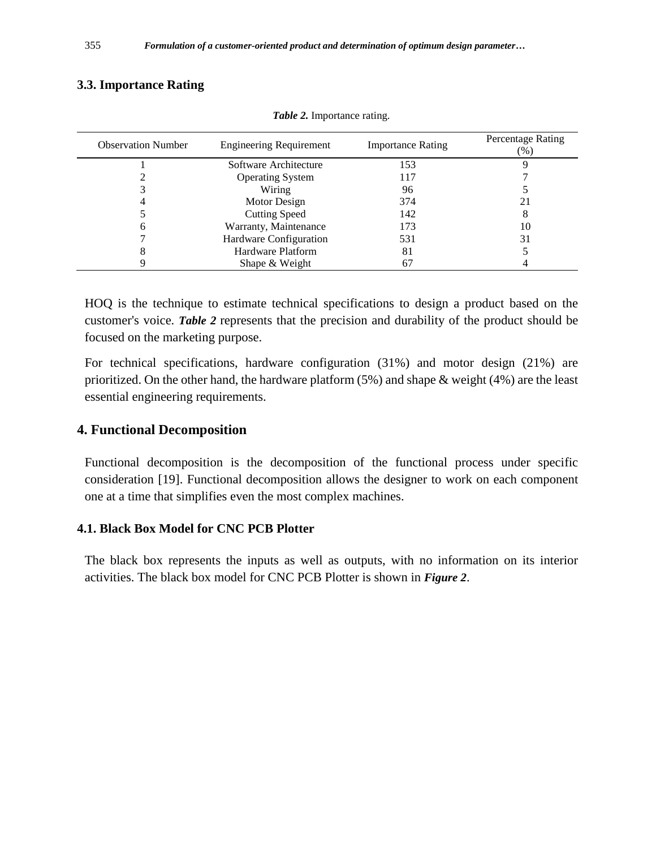#### **3.3. Importance Rating**

| <b>Observation Number</b> | <b>Engineering Requirement</b> | <b>Importance Rating</b> | Percentage Rating<br>$(\%)$ |
|---------------------------|--------------------------------|--------------------------|-----------------------------|
|                           | Software Architecture          | 153                      |                             |
|                           | <b>Operating System</b>        | 117                      |                             |
|                           | Wiring                         | 96                       |                             |
|                           | Motor Design                   | 374                      |                             |
|                           | <b>Cutting Speed</b>           | 142                      |                             |
|                           | Warranty, Maintenance          | 173                      | 10                          |
|                           | Hardware Configuration         | 531                      | 31                          |
|                           | Hardware Platform              | 81                       |                             |
|                           | Shape & Weight                 | 67                       |                             |

*Table 2.* Importance rating.

HOQ is the technique to estimate technical specifications to design a product based on the customer's voice. *Table 2* represents that the precision and durability of the product should be focused on the marketing purpose.

For technical specifications, hardware configuration (31%) and motor design (21%) are prioritized. On the other hand, the hardware platform (5%) and shape & weight (4%) are the least essential engineering requirements.

### **4. Functional Decomposition**

Functional decomposition is the decomposition of the functional process under specific consideration [19]. Functional decomposition allows the designer to work on each component one at a time that simplifies even the most complex machines.

#### **4.1. Black Box Model for CNC PCB Plotter**

The black box represents the inputs as well as outputs, with no information on its interior activities. The black box model for CNC PCB Plotter is shown in *Figure 2*.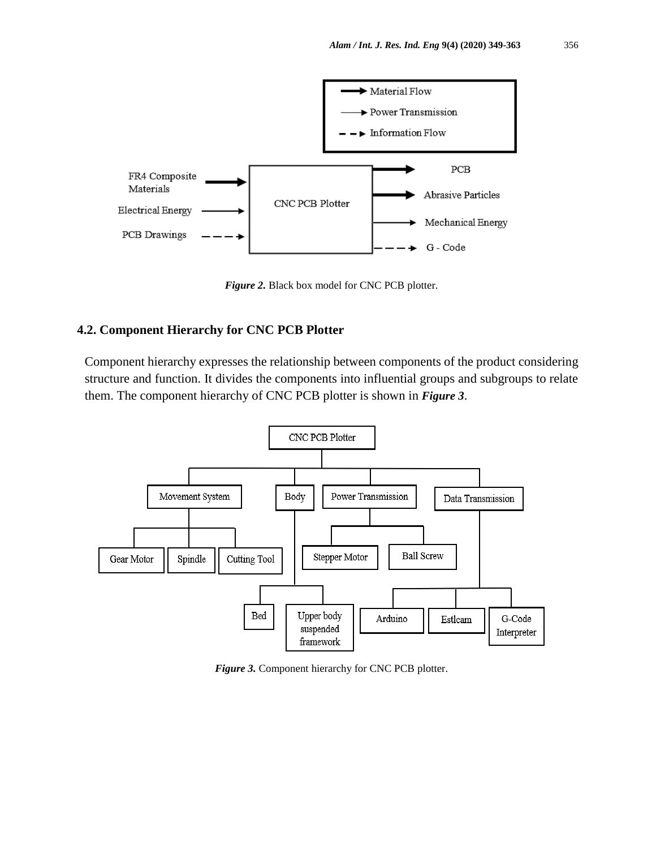

*Figure 2.* Black box model for CNC PCB plotter.

#### **4.2. Component Hierarchy for CNC PCB Plotter**

Component hierarchy expresses the relationship between components of the product considering structure and function. It divides the components into influential groups and subgroups to relate them. The component hierarchy of CNC PCB plotter is shown in *Figure 3*.



*Figure 3.* Component hierarchy for CNC PCB plotter.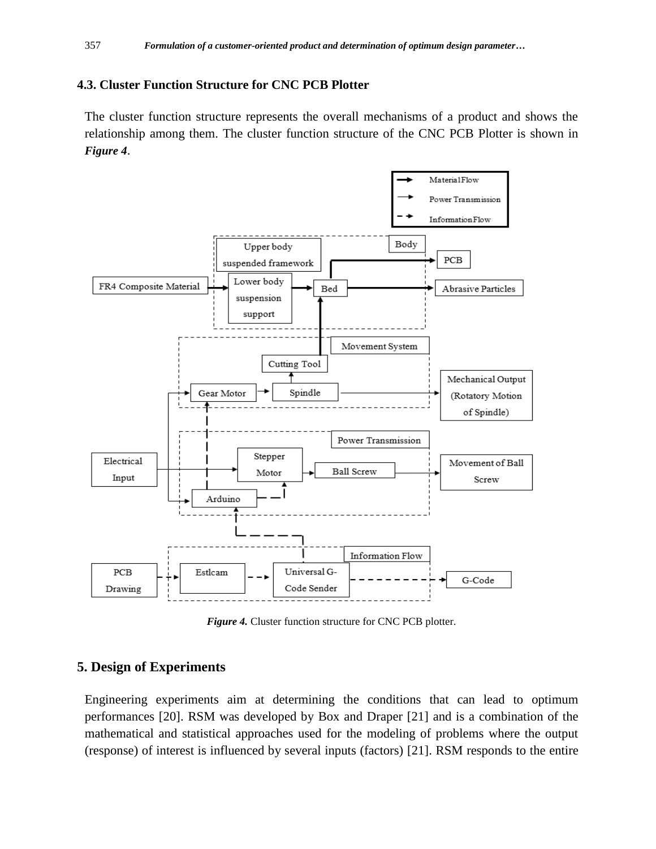### **4.3. Cluster Function Structure for CNC PCB Plotter**

The cluster function structure represents the overall mechanisms of a product and shows the relationship among them. The cluster function structure of the CNC PCB Plotter is shown in *Figure 4*.



*Figure 4.* Cluster function structure for CNC PCB plotter.

### **5. Design of Experiments**

Engineering experiments aim at determining the conditions that can lead to optimum performances [20]. RSM was developed by Box and Draper [21] and is a combination of the mathematical and statistical approaches used for the modeling of problems where the output (response) of interest is influenced by several inputs (factors) [21]. RSM responds to the entire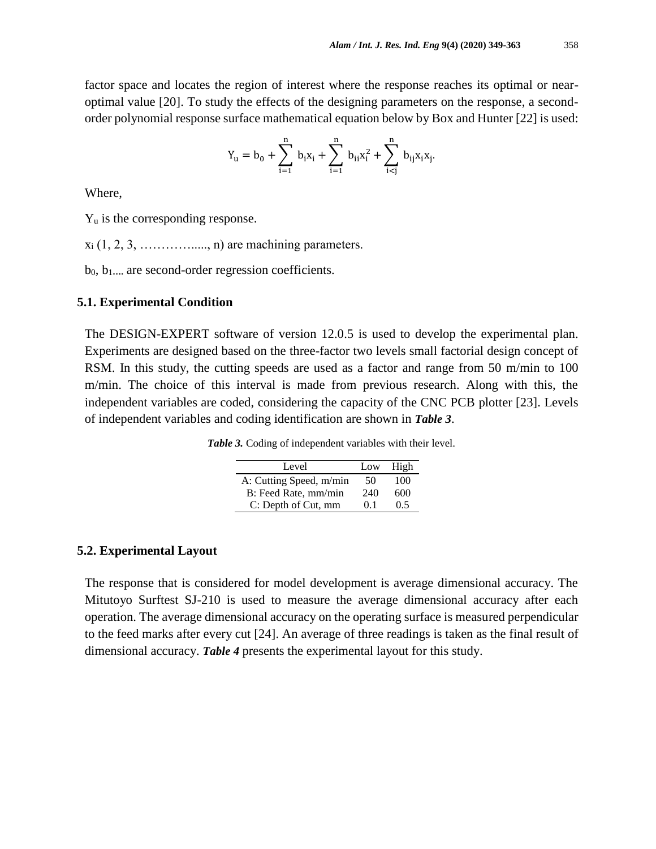factor space and locates the region of interest where the response reaches its optimal or nearoptimal value [20]. To study the effects of the designing parameters on the response, a secondorder polynomial response surface mathematical equation below by Box and Hunter [22] is used:

$$
Y_u = b_0 + \sum_{i=1}^n \, b_i x_i + \sum_{i=1}^n \, b_{ii} x_i^2 + \sum_{i < j}^n \, b_{ij} x_i x_j.
$$

Where,

 $Y_u$  is the corresponding response.

 $x_i$  (1, 2, 3, ................., n) are machining parameters.

b<sub>0</sub>, b<sub>1</sub>..., are second-order regression coefficients.

#### **5.1. Experimental Condition**

The DESIGN-EXPERT software of version 12.0.5 is used to develop the experimental plan. Experiments are designed based on the three-factor two levels small factorial design concept of RSM. In this study, the cutting speeds are used as a factor and range from 50 m/min to 100 m/min. The choice of this interval is made from previous research. Along with this, the independent variables are coded, considering the capacity of the CNC PCB plotter [23]. Levels of independent variables and coding identification are shown in *Table 3*.

*Table 3.* Coding of independent variables with their level.

| Level                   | Low             | High |
|-------------------------|-----------------|------|
| A: Cutting Speed, m/min | 50              | 100  |
| B: Feed Rate, mm/min    | 240             | 600  |
| C: Depth of Cut, mm     | $^{\prime}$ 0 1 | 0.5  |

#### **5.2. Experimental Layout**

The response that is considered for model development is average dimensional accuracy. The Mitutoyo Surftest SJ-210 is used to measure the average dimensional accuracy after each operation. The average dimensional accuracy on the operating surface is measured perpendicular to the feed marks after every cut [24]. An average of three readings is taken as the final result of dimensional accuracy. *Table 4* presents the experimental layout for this study.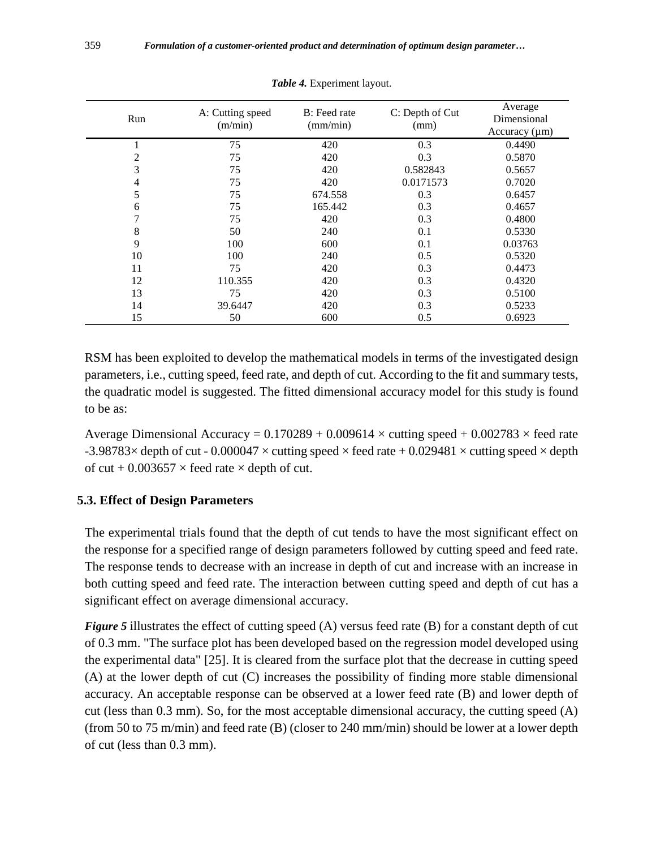| Run            | A: Cutting speed<br>(m/min) | B: Feed rate<br>(mm/min) | C: Depth of Cut<br>(mm) | Average<br>Dimensional<br>Accuracy $(\mu m)$ |  |
|----------------|-----------------------------|--------------------------|-------------------------|----------------------------------------------|--|
|                | 75                          | 420                      | 0.3                     | 0.4490                                       |  |
| $\overline{c}$ | 75                          | 420                      | 0.3                     | 0.5870                                       |  |
| 3              | 75                          | 420                      | 0.582843                | 0.5657                                       |  |
| 4              | 75                          | 420                      | 0.0171573               | 0.7020                                       |  |
| 5              | 75                          | 674.558                  | 0.3                     | 0.6457                                       |  |
| 6              | 75                          | 165.442                  | 0.3                     | 0.4657                                       |  |
| 7              | 75                          | 420                      | 0.3                     | 0.4800                                       |  |
| 8              | 50                          | 240                      | 0.1                     | 0.5330                                       |  |
| 9              | 100                         | 600                      | 0.1                     | 0.03763                                      |  |
| 10             | 100                         | 240                      | 0.5                     | 0.5320                                       |  |
| 11             | 75                          | 420                      | 0.3                     | 0.4473                                       |  |
| 12             | 110.355                     | 420                      | 0.3                     | 0.4320                                       |  |
| 13             | 75                          | 420                      | 0.3                     | 0.5100                                       |  |
| 14             | 39.6447                     | 420                      | 0.3                     | 0.5233                                       |  |
| 15             | 50                          | 600                      | 0.5                     | 0.6923                                       |  |

*Table 4.* Experiment layout.

RSM has been exploited to develop the mathematical models in terms of the investigated design parameters, i.e., cutting speed, feed rate, and depth of cut. According to the fit and summary tests, the quadratic model is suggested. The fitted dimensional accuracy model for this study is found to be as:

Average Dimensional Accuracy =  $0.170289 + 0.009614 \times$  cutting speed  $+ 0.002783 \times$  feed rate -3.98783 $\times$  depth of cut - 0.000047  $\times$  cutting speed  $\times$  feed rate + 0.029481  $\times$  cutting speed  $\times$  depth of cut + 0.003657  $\times$  feed rate  $\times$  depth of cut.

#### **5.3. Effect of Design Parameters**

The experimental trials found that the depth of cut tends to have the most significant effect on the response for a specified range of design parameters followed by cutting speed and feed rate. The response tends to decrease with an increase in depth of cut and increase with an increase in both cutting speed and feed rate. The interaction between cutting speed and depth of cut has a significant effect on average dimensional accuracy.

*Figure 5* illustrates the effect of cutting speed (A) versus feed rate (B) for a constant depth of cut of 0.3 mm. "The surface plot has been developed based on the regression model developed using the experimental data" [25]. It is cleared from the surface plot that the decrease in cutting speed (A) at the lower depth of cut (C) increases the possibility of finding more stable dimensional accuracy. An acceptable response can be observed at a lower feed rate (B) and lower depth of cut (less than 0.3 mm). So, for the most acceptable dimensional accuracy, the cutting speed (A) (from 50 to 75 m/min) and feed rate (B) (closer to 240 mm/min) should be lower at a lower depth of cut (less than 0.3 mm).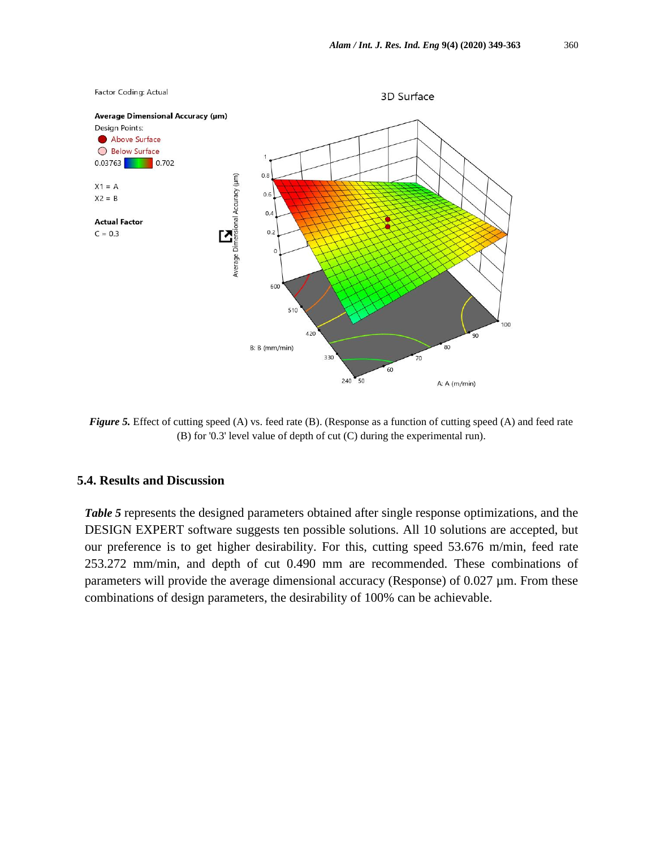

*Figure 5.* Effect of cutting speed (A) vs. feed rate (B). (Response as a function of cutting speed (A) and feed rate (B) for '0.3' level value of depth of cut (C) during the experimental run).

#### **5.4. Results and Discussion**

*Table 5* represents the designed parameters obtained after single response optimizations, and the DESIGN EXPERT software suggests ten possible solutions. All 10 solutions are accepted, but our preference is to get higher desirability. For this, cutting speed 53.676 m/min, feed rate 253.272 mm/min, and depth of cut 0.490 mm are recommended. These combinations of parameters will provide the average dimensional accuracy (Response) of 0.027  $\mu$ m. From these combinations of design parameters, the desirability of 100% can be achievable.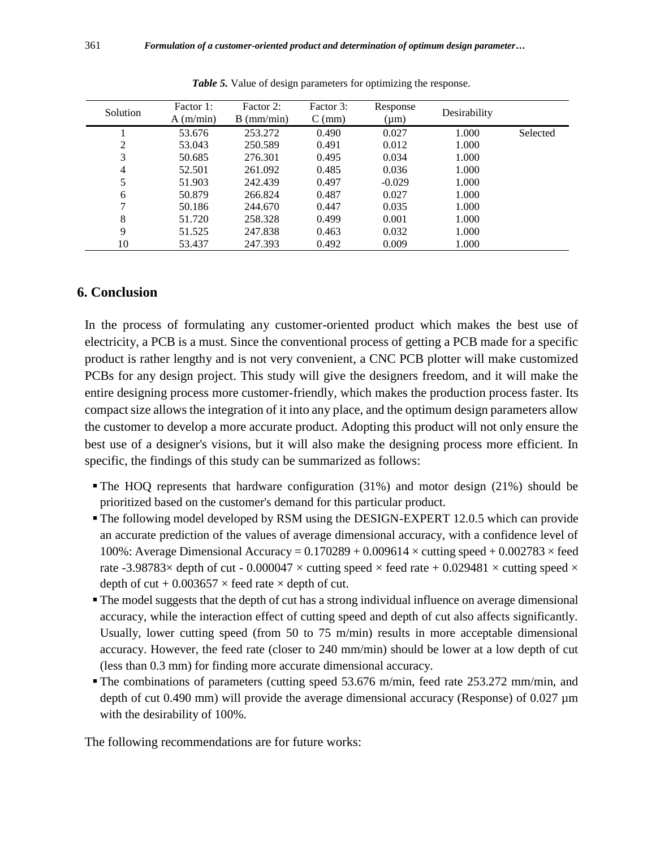| Solution | Factor 1:<br>A (m/min) | Factor 2:<br>$B \text{ (mm/min)}$ | Factor 3:<br>$C$ (mm) | Response<br>$(\mu m)$ | Desirability |          |
|----------|------------------------|-----------------------------------|-----------------------|-----------------------|--------------|----------|
|          | 53.676                 | 253.272                           | 0.490                 | 0.027                 | 1.000        | Selected |
| 2        | 53.043                 | 250.589                           | 0.491                 | 0.012                 | 1.000        |          |
| 3        | 50.685                 | 276.301                           | 0.495                 | 0.034                 | 1.000        |          |
| 4        | 52.501                 | 261.092                           | 0.485                 | 0.036                 | 1.000        |          |
| 5        | 51.903                 | 242.439                           | 0.497                 | $-0.029$              | 1.000        |          |
| 6        | 50.879                 | 266.824                           | 0.487                 | 0.027                 | 1.000        |          |
| 7        | 50.186                 | 244.670                           | 0.447                 | 0.035                 | 1.000        |          |
| 8        | 51.720                 | 258.328                           | 0.499                 | 0.001                 | 1.000        |          |
| 9        | 51.525                 | 247.838                           | 0.463                 | 0.032                 | 1.000        |          |
| 10       | 53.437                 | 247.393                           | 0.492                 | 0.009                 | 1.000        |          |

*Table 5.* Value of design parameters for optimizing the response.

#### **6. Conclusion**

In the process of formulating any customer-oriented product which makes the best use of electricity, a PCB is a must. Since the conventional process of getting a PCB made for a specific product is rather lengthy and is not very convenient, a CNC PCB plotter will make customized PCBs for any design project. This study will give the designers freedom, and it will make the entire designing process more customer-friendly, which makes the production process faster. Its compact size allows the integration of it into any place, and the optimum design parameters allow the customer to develop a more accurate product. Adopting this product will not only ensure the best use of a designer's visions, but it will also make the designing process more efficient. In specific, the findings of this study can be summarized as follows:

- The HOQ represents that hardware configuration (31%) and motor design (21%) should be prioritized based on the customer's demand for this particular product.
- The following model developed by RSM using the DESIGN-EXPERT 12.0.5 which can provide an accurate prediction of the values of average dimensional accuracy, with a confidence level of 100%: Average Dimensional Accuracy =  $0.170289 + 0.009614 \times$  cutting speed + 0.002783  $\times$  feed rate -3.98783 $\times$  depth of cut - 0.000047  $\times$  cutting speed  $\times$  feed rate + 0.029481  $\times$  cutting speed  $\times$ depth of cut +  $0.003657 \times$  feed rate  $\times$  depth of cut.
- The model suggests that the depth of cut has a strong individual influence on average dimensional accuracy, while the interaction effect of cutting speed and depth of cut also affects significantly. Usually, lower cutting speed (from 50 to 75 m/min) results in more acceptable dimensional accuracy. However, the feed rate (closer to 240 mm/min) should be lower at a low depth of cut (less than 0.3 mm) for finding more accurate dimensional accuracy.
- The combinations of parameters (cutting speed 53.676 m/min, feed rate 253.272 mm/min, and depth of cut 0.490 mm) will provide the average dimensional accuracy (Response) of 0.027  $\mu$ m with the desirability of 100%.

The following recommendations are for future works: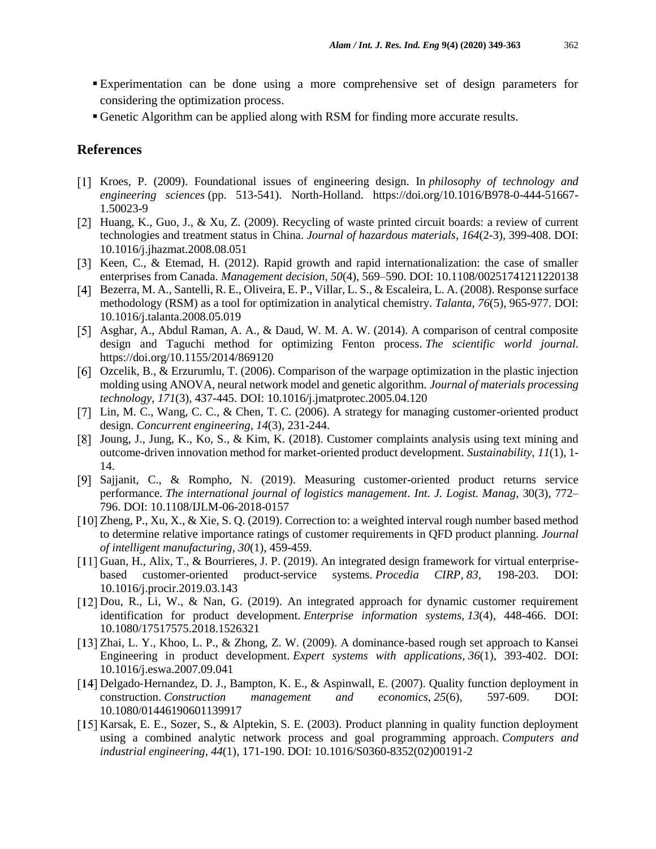- Experimentation can be done using a more comprehensive set of design parameters for considering the optimization process.
- Genetic Algorithm can be applied along with RSM for finding more accurate results.

#### **References**

- Kroes, P. (2009). Foundational issues of engineering design. In *philosophy of technology and engineering sciences* (pp. 513-541). North-Holland. [https://doi.org/10.1016/B978-0-444-51667-](https://doi.org/10.1016/B978-0-444-51667-1.50023-9) [1.50023-9](https://doi.org/10.1016/B978-0-444-51667-1.50023-9)
- [2] Huang, K., Guo, J., & Xu, Z. (2009). Recycling of waste printed circuit boards: a review of current technologies and treatment status in China. *Journal of hazardous materials*, *164*(2-3), 399-408. DOI: 10.1016/j.jhazmat.2008.08.051
- [3] Keen, C., & Etemad, H. (2012). Rapid growth and rapid internationalization: the case of smaller enterprises from Canada. *Management decision*, *50*(4), 569–590. DOI: 10.1108/00251741211220138
- Bezerra, M. A., Santelli, R. E., Oliveira, E. P., Villar, L. S., & Escaleira, L. A. (2008). Response surface methodology (RSM) as a tool for optimization in analytical chemistry. *Talanta*, *76*(5), 965-977. DOI: 10.1016/j.talanta.2008.05.019
- [5] Asghar, A., Abdul Raman, A. A., & Daud, W. M. A. W. (2014). A comparison of central composite design and Taguchi method for optimizing Fenton process. *The scientific world journal*. https://doi.org/10.1155/2014/869120
- Ozcelik, B., & Erzurumlu, T. (2006). Comparison of the warpage optimization in the plastic injection molding using ANOVA, neural network model and genetic algorithm. *Journal of materials processing technology*, *171*(3), 437-445. DOI: 10.1016/j.jmatprotec.2005.04.120
- [7] Lin, M. C., Wang, C. C., & Chen, T. C. (2006). A strategy for managing customer-oriented product design. *Concurrent engineering*, *14*(3), 231-244.
- Joung, J., Jung, K., Ko, S., & Kim, K. (2018). Customer complaints analysis using text mining and outcome-driven innovation method for market-oriented product development. *Sustainability*, *11*(1), 1- 14.
- [9] Sajjanit, C., & Rompho, N. (2019). Measuring customer-oriented product returns service performance. *The international journal of logistics management*. *Int. J. Logist. Manag,* 30(3), 772– 796. DOI: 10.1108/IJLM-06-2018-0157
- [10] Zheng, P., Xu, X., & Xie, S. Q. (2019). Correction to: a weighted interval rough number based method to determine relative importance ratings of customer requirements in QFD product planning. *Journal of intelligent manufacturing*, *30*(1), 459-459.
- [11] Guan, H., Alix, T., & Bourrieres, J. P. (2019). An integrated design framework for virtual enterprisebased customer-oriented product-service systems. *Procedia CIRP*, *83,* 198-203. DOI: 10.1016/j.procir.2019.03.143
- [12] Dou, R., Li, W., & Nan, G. (2019). An integrated approach for dynamic customer requirement identification for product development. *Enterprise information systems, 13*(4), 448-466. DOI: 10.1080/17517575.2018.1526321
- [13] Zhai, L. Y., Khoo, L. P., & Zhong, Z. W. (2009). A dominance-based rough set approach to Kansei Engineering in product development. *Expert systems with applications*, *36*(1), 393-402. DOI: 10.1016/j.eswa.2007.09.041
- [14] Delgado-Hernandez, D. J., Bampton, K. E., & Aspinwall, E. (2007). Quality function deployment in construction. *Construction management and economics*, *25*(6), 597-609. DOI: 10.1080/01446190601139917
- [15] Karsak, E. E., Sozer, S., & Alptekin, S. E. (2003). Product planning in quality function deployment using a combined analytic network process and goal programming approach. *Computers and industrial engineering*, *44*(1), 171-190. DOI: 10.1016/S0360-8352(02)00191-2